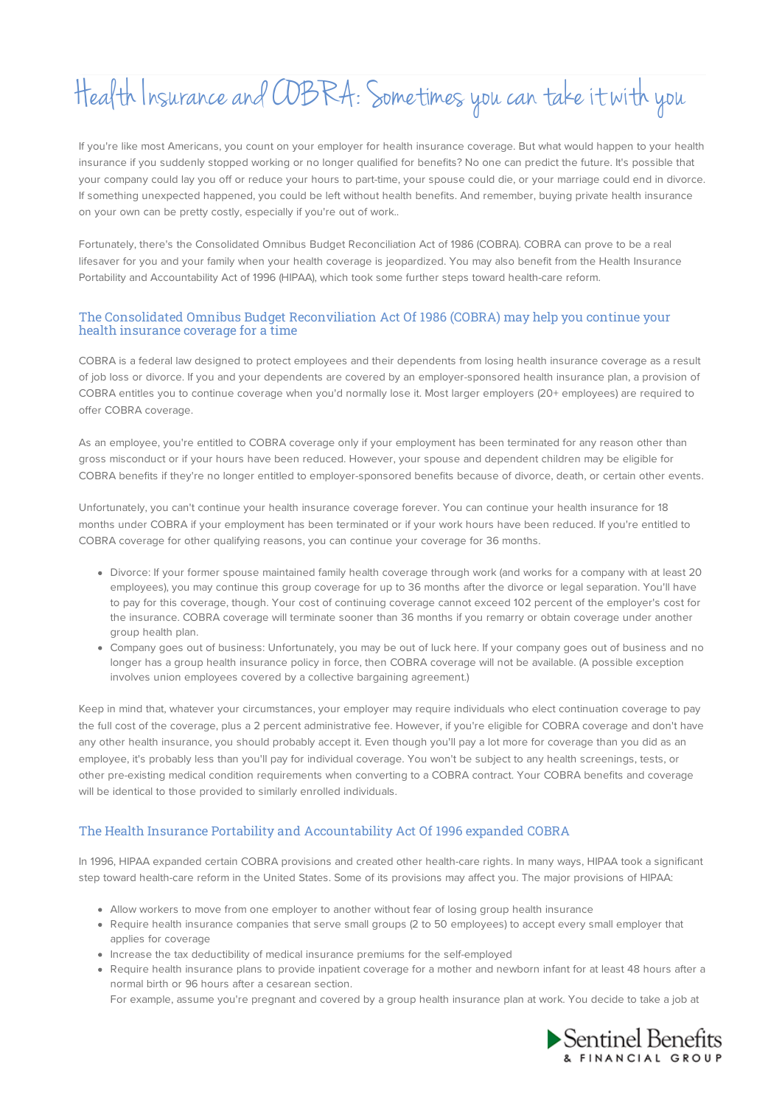## Health Insurance andCOBRA: Sometimes you can take itwith you

If you're like most Americans, you count on your employer for health insurance coverage. But what would happen to your health insurance if you suddenly stopped working or no longer qualified for benefits? No one can predict the future. It's possible that your company could lay you off or reduce your hours to part-time, your spouse could die, or your marriage could end in divorce. If something unexpected happened, you could be left without health benefits. And remember, buying private health insurance on your own can be pretty costly, especially if you're out of work..

Fortunately, there's the Consolidated Omnibus Budget Reconciliation Act of 1986 (COBRA). COBRA can prove to be a real lifesaver for you and your family when your health coverage is jeopardized. You may also benefit from the Health Insurance Portability and Accountability Act of 1996 (HIPAA), which took some further steps toward health-care reform.

## The Consolidated Omnibus Budget Reconviliation Act Of 1986 (COBRA) may help you continue your health insurance coverage for a time

COBRA is a federal law designed to protect employees and their dependents from losing health insurance coverage as a result of job loss or divorce. If you and your dependents are covered by an employer-sponsored health insurance plan, a provision of COBRA entitles you to continue coverage when you'd normally lose it. Most larger employers (20+ employees) are required to offer COBRA coverage.

As an employee, you're entitled to COBRA coverage only if your employment has been terminated for any reason other than gross misconduct or if your hours have been reduced. However, your spouse and dependent children may be eligible for COBRA benefits if they're no longer entitled to employer-sponsored benefits because of divorce, death, or certain other events.

Unfortunately, you can't continue your health insurance coverage forever. You can continue your health insurance for 18 months under COBRA if your employment has been terminated or if your work hours have been reduced. If you're entitled to COBRA coverage for other qualifying reasons, you can continue your coverage for 36 months.

- Divorce: If your former spouse maintained family health coverage through work (and works for a company with at least 20 employees), you may continue this group coverage for up to 36 months after the divorce or legal separation. You'll have to pay for this coverage, though. Your cost of continuing coverage cannot exceed 102 percent of the employer's cost for the insurance. COBRA coverage will terminate sooner than 36 months if you remarry or obtain coverage under another group health plan.
- Company goes out of business: Unfortunately, you may be out of luck here. If your company goes out of business and no longer has a group health insurance policy in force, then COBRA coverage will not be available. (A possible exception involves union employees covered by a collective bargaining agreement.)

Keep in mind that, whatever your circumstances, your employer may require individuals who elect continuation coverage to pay the full cost of the coverage, plus a 2 percent administrative fee. However, if you're eligible for COBRA coverage and don't have any other health insurance, you should probably accept it. Even though you'll pay a lot more for coverage than you did as an employee, it's probably less than you'll pay for individual coverage. You won't be subject to any health screenings, tests, or other pre-existing medical condition requirements when converting to a COBRA contract. Your COBRA benefits and coverage will be identical to those provided to similarly enrolled individuals.

## The Health Insurance Portability and Accountability Act Of 1996 expanded COBRA

In 1996, HIPAA expanded certain COBRA provisions and created other health-care rights. In many ways, HIPAA took a significant step toward health-care reform in the United States. Some of its provisions may affect you. The major provisions of HIPAA:

- Allow workers to move from one employer to another without fear of losing group health insurance
- Require health insurance companies that serve small groups (2 to 50 employees) to accept every small employer that applies for coverage
- Increase the tax deductibility of medical insurance premiums for the self-employed
- Require health insurance plans to provide inpatient coverage for a mother and newborn infant for at least 48 hours after a normal birth or 96 hours after a cesarean section.

For example, assume you're pregnant and covered by a group health insurance plan at work. You decide to take a job at